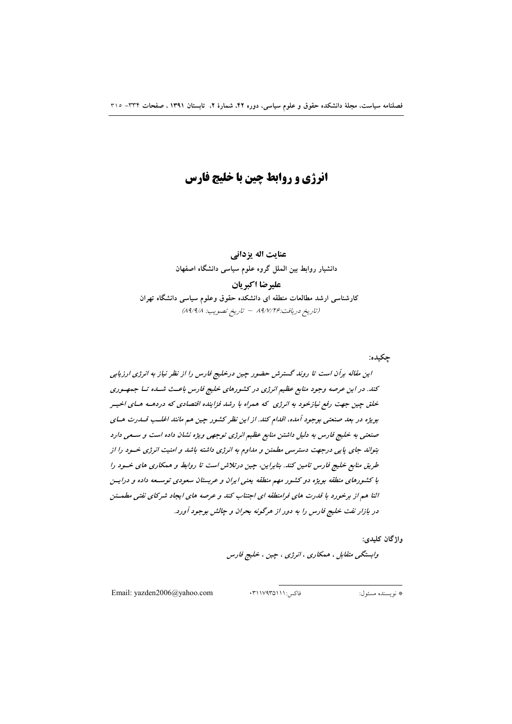# انرژی و روابط چین با خلیج فارس

عنايت اله يزداني دانشیار روابط بین الملل گروه علوم سیاسی دانشگاه اصفهان عليرضا اكبريان

کارشناسی ارشد مطالعات منطقه ای دانشکده حقوق وعلوم سیاسی دانشگاه تهران (تاريخ دريافت:٨٩/٧/٢۶ – تاريخ تصويب: ٨٩/٩/٨)

جكيده:

این مقاله برآن است تا روند گسترش حضور چین درخلیج فارس را از نظر نیاز به انرژی ارزیابی کند. در این عرصه وجود منابع عظیم انرژی در کشورهای خلیج فارس باعث شداه تا جمهوری خلق چین جهت رفع نیازخود به انرژی که همراه با رشد فزاینده اقتصادی که دردهــه هـای اخیــر بویژه در بعد صنعتی بوجود آمده، اقدام کند. از این نظر کشور چین هم مانند اغلب قسدرت هسای صنعتی به خلیج فارس به دلیل داشتن منابع عظیم انرژی توجهی ویژه نشان داده است و ستعی دارد بتواند جای پایی درجهت دسترسی مطمئن و مداوم به انرژی داشته باشد و امنیت انرژی خسود را از طریق منابع خلیج فارس تامین کند. بنابراین، چین درتلاش است تا روابط و همکاری های خسود را با کشورهای منطقه بویژه دو کشور مهم منطقه یعنی ایران و عربستان سعودی توسـعه داده و درایــن اثنا هم از برخورد با قدرت های فرامنطقه ای اجتناب کند و عرصه های ایجاد شرکای نفتی مطهشن در بازار نفت خلیج فارس را به دور از هرگونه بحران و چالش بوجود آورد.

واژگان کليدي:

وابستگي متقابل ، همکاري ، انرژي ، چين ، خليج فارس

Email: yazden2006@yahoo.com

فاكس:١١١/٩٣٥١١١:

# نو بسنده مسئول: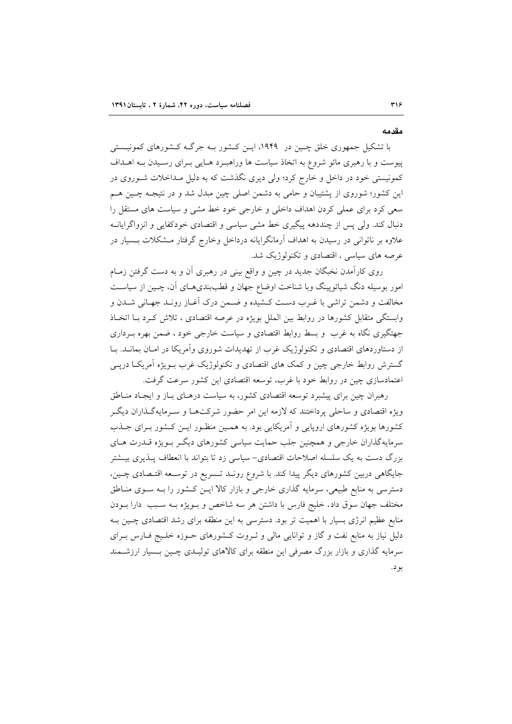#### مقدمه

با تشکیل جمهوری خلق چـین در ۱۹۴۹، ایـن کـشور بـه جرگـه کـشورهای کمونیـستی پیوست و با رهبری مائو شروع به اتخاذ سیاست ها وراهبـرد هـایی بـرای رسـیدن بـه اهــداف کمونیستی خود در داخل و خارج کرد؛ ولی دیری نگذشت که به دلیل مـداخلات شــوروی در این کشور؛ شوروی از پشتیبان و حامی به دشمن اصلی چین مبدل شد و در نتیجـه چــین هــم سعی کرد برای عملی کردن اهداف داخلی و خارجی خود خط مشی و سیاست های مستقل را دنبال کند. ولی پس از چنددهه پیگیری خط مشی سیاسی و اقتصادی خودکفایی و انزواگرایانـه علاوه بر ناتوانی در رسیدن به اهداف آرمانگرایانه درداخل وخارج گرفتار مـشکلات بـسیار در عرصه های سیاسی ، اقتصادی و تکنولوژیک شد.

روی کارآمدن نخبگان جدید در چین و واقع بینی در رهبری آن و به دست گرفتن زمـام امور بوسیله دنگ شیائوپینگ وبا شناخت اوضاع جهان و قطببندیهـای آن، چـین از سیاسـت مخالفت و دشمن تراشی با غـرب دسـت کـشیده و ضـمن درک آغـاز رونـد جهـانی شـدن و وابستگی متقابل کشورها در روابط بین الملل بویژه در عرصه اقتصادی ، تلاش کـرد بـا اتخـاذ جهتگیری نگاه به غرب و بسط روابط اقتصادی و سیاست خارجی خود ، ضمن بهره بـرداری از دستاوردهای اقتصادی و تکنولوژیک غرب از تهدیدات شوروی وآمریکا در امـان بمانــد. بــا گسترش روابط خارجی چین و کمک های اقتصادی و تکنولوژیک غرب بـویژه آمریکـا دریـی اعتمادسازی چین در روابط خود با غرب، توسعه اقتصادی این کشور سرعت گرفت.

رهبران چین برای پیشبرد توسعه اقتصادی کشور، به سیاست درهـای بـاز و ایجـاد منـاطق ویژه اقتصادی و ساحلی پرداختند که لازمه این امر حضور شرکتهـا و سـرمایهگـذاران دیگـر کشورها بویژه کشورهای اروپایی و آمریکایی بود. به همـین منظـور ایـن کـشور بـرای جـذب سرمایهگذاران خارجی و همچنین جلب حمایت سیاسی کشورهای دیگر بویژه قــدرت هـای بزرگ دست به یک سلسله اصلاحات اقتصادی- سیاسی زد تا بتواند با انعطاف پـذیری بیـشتر جایگاهی دربین کشورهای دیگر پیدا کند. با شروع رونـد تـسریع در توسـعه اقتـصادی چــین، دسترسی به منابع طبیعی، سرمایه گذاری خارجی و بازار کالا ایــز کــشور را بــه ســوی منــاطق مختلف جهان سوق داد. خليج فارس با داشتن هر سه شاخص و بـويژه بـه سـبب دارا بـودن منابع عظیم انرژی بسیار با اهمیت تر بود. دسترسی به این منطقه برای رشد اقتصادی چـین بـه دلیل نیاز به منابع نفت و گاز و توانایی مالی و ثـروت کـشورهای حـوزه خلـیج فـارس بـرای سرمایه گذاری و بازار بزرگ مصرفی این منطقه برای کالاهای تولیـدی چـین بـسیار ارزشــمند بو د.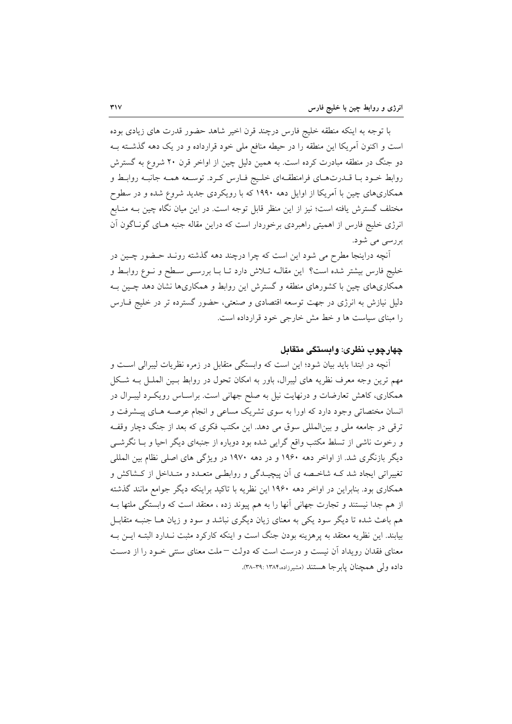با توجه به اینکه منطقه خلیج فارس درچند قرن اخیر شاهد حضور قدرت های زیادی بوده است و اکنون آمریکا این منطقه را در حیطه منافع ملی خود قرارداده و در یک دهه گذشته بـه دو جنگ در منطقه مبادرت کرده است. به همین دلیل چین از اواخر قرن ۲۰ شروع به گسترش روابط خـود بـا قــدرتهـاي فرامنطقــهاي خلـيج فــارس كـرد. توســعه همــه جانبــه روابــط و همکاریهای چین با آمریکا از اوایل دهه ۱۹۹۰ که با رویکردی جدید شروع شده و در سطوح مختلف گسترش یافته است؛ نیز از این منظر قابل توجه است. در این میان نگاه چین بــه منــابع انرژی خلیج فارس از اهمیتی راهبردی برخوردار است که دراین مقاله جنبه هـای گونـاگون آن بررسی می شود.

آنچه دراینجا مطرح می شود این است که چرا درچند دهه گذشته رونـد حـضور چـین در خليج فارس بيشتر شده است؟ اين مقالـه تـلاش دارد تـا بـا بررسـي سـطح و نـوع روابـط و همکاریهای چین با کشورهای منطقه و گسترش این روابط و همکاریها نشان دهد چـین بـه دلیل نیازش به انرژی در جهت توسعه اقتصادی و صنعتی، حضور گسترده تر در خلیج فــارس را مبنای سیاست ها و خط مش خارجی خود قرارداده است.

## چهارچوب نظری: وابستگی متقابل

آنچه در ابتدا باید بیان شود؛ این است که وابستگی متقابل در زمره نظریات لیبرالی است و مهم ترین وجه معرف نظریه های لیبرال، باور به امکان تحول در روابط بـین الملـل بـه شـکل همکاری، کاهش تعارضات و درنهایت نیل به صلح جهانی است. براسـاس رویکـرد لیبـرال در انسان مختصاتی وجود دارد که اورا به سوی تشریک مساعی و انجام عرصـه هـای پیـشرفت و ترقی در جامعه ملی و بینالمللی سوق می دهد. این مکتب فکری که بعد از جنگ دچار وقف و رخوت ناشی از تسلط مکتب واقع گرایی شده بود دوباره از جنبهای دیگر احیا و بـا نگرشــی دیگر بازنگری شد. از اواخر دهه ۱۹۶۰ و در دهه ۱۹۷۰ در ویژگی های اصلی نظام بین المللی تغییراتی ایجاد شد کـه شاخـصه ی آن پیچیـدگی و روابطـی متعـدد و متـداخل از کـشاکش و همکاری بود. بنابراین در اواخر دهه ۱۹۶۰ این نظریه با تاکید براینکه دیگر جوامع مانند گذشته از هم جدا نیستند و تجارت جهانی آنها را به هم پیوند زده ، معتقد است که وابستگی ملتها بـه هم باعث شده تا دیگر سود یکی به معنای زیان دیگری نباشد و سود و زیان هـا جنبـه متقابـل بیابند. این نظریه معتقد به پرهزینه بودن جنگ است و اینکه کارکرد مثبت نـدارد البتـه ایــن بــه معنای فقدان رویداد آن نیست و درست است که دولت –ملت معنای سنتی خـود را از دسـت داده ولي همچنان يابرجا هستند (مشيرزاده،١٣٨۴: ٣٩-٣٨).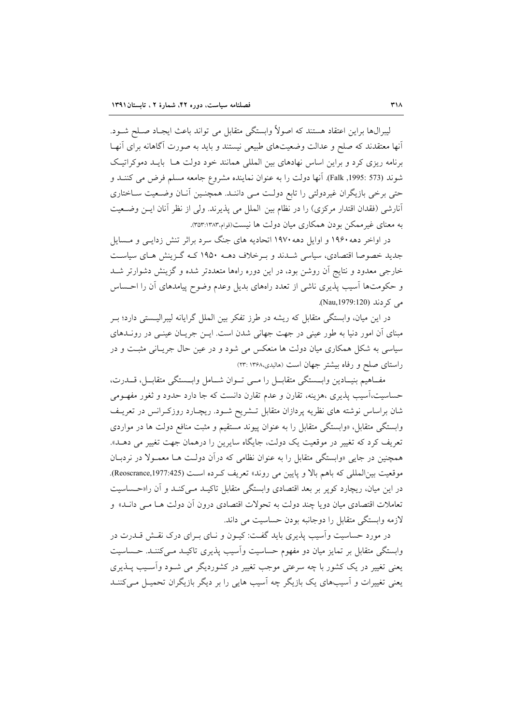ليبرالها براين اعتقاد هستند كه اصولاً وابستگي متقابل مي تواند باعث ايجـاد صـلح شـود. أنها معتقدند که صلح و عدالت وضعیتهای طبیعی نیستند و باید به صورت آگاهانه برای آنهـا برنامه ریزی کرد و براین اساس نهادهای بین المللی همانند خود دولت هـا بایـد دموکراتیـک شوند (573 :1995, Falk). آنها دولت را به عنوان نماينده مشروع جامعه مسلم فرض مي كننــد و حتی برخی بازیگران غیردولتی را تابع دولت مـی داننـد. همچنـین آنـان وضـعیت سـاختاری أنارشي (فقدان اقتدار مركزي) را در نظام بين الملل مي پذيرند. ولي از نظر أنان ايـن وضـعيت به معنای غیر ممکن بودن همکاری میان دولت ها نیست(قوام،۱۳۸۳:۱۳۵۳).

در اواخر دهه ۱۹۶۰ و اوایل دهه ۱۹۷۰ اتحادیه های جنگ سرد براثر تنش زدایـی و مـسایل جدید خصوصا اقتصادی، سیاسی شـدند و بـرخلاف دهــه ۱۹۵۰ کــه گــزینش هـای سیاسـت خارجی معدود و نتایج آن روشن بود، در این دوره راهها متعددتر شده و گزینش دشوارتر شـد و حکومتها آسیب پذیری ناشبی از تعدد راههای بدیل وعدم وضوح پیامدهای آن را احـساس می کر دند (Nau,1979:120).

در این میان، وابستگی متقابل که ریشه در طرز تفکر بین الملل گرایانه لیبرالیـستی دارد؛ بـر مبنای آن امور دنیا به طور عینی در جهت جهانی شدن است. ایـن جریـان عینـی در رونــدهای سیاسی به شکل همکاری میان دولت ها منعکس می شود و در عین حال جریـانی مثبـت و در راستای صلح و رفاه بیشتر جهان است (هالیدی،۱۳۶۸):۲۳)

مفــاهيم بنيـــادين وابـــمتگي متقابــل را مـــي تـــوان شـــامل وابـــمتگي متقابــل، قـــدرت، حساسیت،اسیب پذیری ،هزینه، تقارن و عدم تقارن دانست که جا دارد حدود و ثغور مفهــومی شان براساس نوشته های نظریه پردازان متقابل تــشریح شــود. ریچــارد روزکــرانس در تعریــف وابستگی متقابل، «وابستگی متقابل را به عنوان پیوند مستقیم و مثبت منافع دولت ها در مواردی تعریف کرد که تغییر در موقعیت یک دولت، جایگاه سایرین را درهمان جهت تغییر می دهـلـ». همچنین در جایی «وابستگی متقابل را به عنوان نظامی که درآن دولت هـا معمـولا در نردبـان موقعيت بين المللي كه باهم بالا و پايين مي روند» تعريف كرده است (Reoscrance,1977:425). در این میان، ریچارد کوپر بر بعد اقتصادی وابستگی متقابل تاکیـد مـیکنـد و آن را«حـساسیت تعاملات اقتصادی میان دو یا چند دولت به تحولات اقتصادی درون آن دولت هــا مــ<sub>ی</sub> دانــد» و لازمه وابستگي متقابل را دوجانبه بودن حساسيت مي داند.

در مورد حساسیت واسیب پذیری باید گفت: کیـون و نـای بـرای درک نقـش قــدرت در وابستگی متقابل بر تمایز میان دو مفهوم حساسیت وآسیب پذیری تاکیـد مـی کننـد. حـساسیت یعنی تغییر در یک کشور با چه سرعتی موجب تغییر در کشوردیگر می شـود وأسـیب پــذیری یعنی تغییرات و آسیبهای یک بازیگر چه آسیب هایی را بر دیگر بازیگران تحمیـل مـی کننـد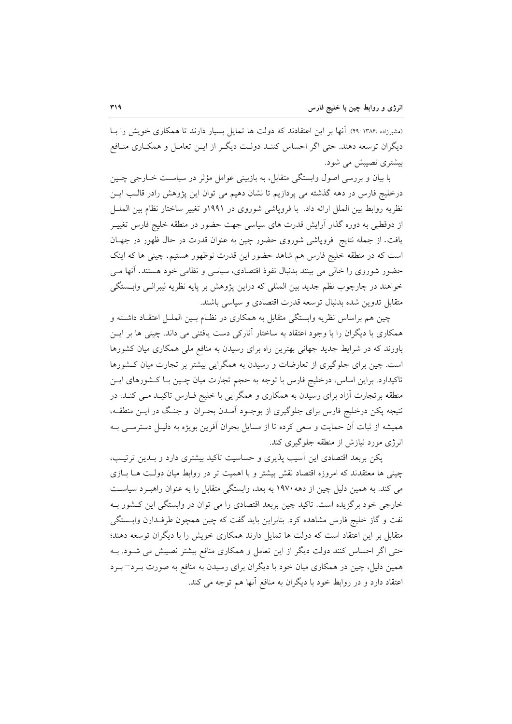(مشیرزاده ،۱۳۸۶ :۴۹). آنها بر این اعتقادند که دولت ها تمایل بسیار دارند تا همکاری خویش را بـا دیگران توسعه دهند. حتی اگر احساس کننـد دولـت دیگـر از ایــن تعامــل و همکــاری منــافع بیشتری نصیبش می شود.

با بیان و بررسی اصول وابستگی متقابل، به بازبینی عوامل مؤثر در سیاست خـارجی چـین درخلیج فارس در دهه گذشته می پردازیم تا نشان دهیم می توان این پژوهش رادر قالب ایـن نظريه روابط بين الملل ارائه داد. با فروپاشي شوروي در ١٩٩١و تغيير ساختار نظام بين الملـل از دوقطبی به دوره گذار آرایش قدرت های سیاسی جهت حضور در منطقه خلیج فارس تغییــر یافت. از جمله نتایج فروپاشی شوروی حضور چین به عنوان قدرت در حال ظهور در جهـان است که در منطقه خلیج فارس هم شاهد حضور این قدرت نوظهور هستیم. چینی ها که اینک حضور شوروی را خالی می بینند بدنبال نفوذ اقتصادی، سیاسی و نظامی خود هستند. آنها مے خواهند در چارچوب نظم جدید بین المللی که دراین پژوهش بر پایه نظریه لیبرالـی وابــستگی متقابل تدوین شده بدنبال توسعه قدرت اقتصادی و سیاسی باشند.

چین هم براساس نظریه وابستگی متقابل به همکاری در نظـام بـین الملـل اعتقـاد داشـته و همکاری با دیگران را با وجود اعتقاد به ساختار آنارکی دست یافتنی می داند. چینی ها بر ایـن باورند که در شرایط جدید جهانی بهترین راه برای رسیدن به منافع ملی همکاری میان کشورها است. چین برای جلوگیری از تعارضات و رسیدن به همگرایی بیشتر بر تجارت میان کـشورها تاکیدارد. براین اساس، درخلیج فارس با توجه به حجم تجارت میان چـین بـا کـشورهای ایـن منطقه برتجارت آزاد برای رسیدن به همکاری و همگرایی با خلیج فــارس تاکیــد مــی کنــد. در نتیجه پکن درخلیج فارس برای جلوگیری از بوجـود آمـدن بحـران و جنـگ در ایــن منطقــه، همیشه از ثبات اّن حمایت و سعی کرده تا از مسایل بحران اّفرین بویژه به دلیـل دسترسـی بــه انرژی مورد نیازش از منطقه جلوگیری کند.

یکن بربعد اقتصادی این آسیب پذیری و حساسیت تاکید بیشتری دارد و بـدین ترتیـب، چینی ها معتقدند که امروزه اقتصاد نقش بیشتر و با اهمیت تر در روابط میان دولت هـا بـازی می کند. به همین دلیل چین از دهه ۱۹۷۰ به بعد، وابستگی متقابل را به عنوان راهبـرد سیاسـت خارجی خود برگزیده است. تاکید چین بربعد اقتصادی را می توان در وابستگی این کـشور بـه نفت و گاز خلیج فارس مشاهده کرد. بنابراین باید گفت که چین همچون طرف دارن وابستگی متقابل بر این اعتقاد است که دولت ها تمایل دارند همکاری خویش را با دیگران توسعه دهند؛ حتی اگر احساس کنند دولت دیگر از این تعامل و همکاری منافع بیشتر نصیبش می شـود. بـه همین دلیل، چین در همکاری میان خود با دیگران برای رسیدن به منافع به صورت بـرد−بـرد اعتقاد دارد و در روابط خود با دیگران به منافع آنها هم توجه می کند.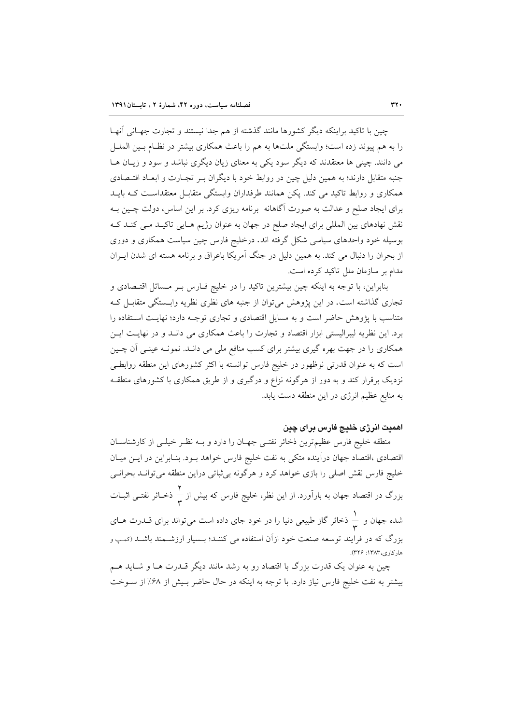چین با تاکید براینکه دیگر کشورها مانند گذشته از هم جدا نیستند و تجارت جهـانی آنهـا را به هم پیوند زده است؛ وابستگی ملتها به هم را باعث همکاری بیشتر در نظـام بــین الملــل می دانند. چینی ها معتقدند که دیگر سود یکی به معنای زیان دیگری نباشد و سود و زیـان هـا جنبه متقابل دارند؛ به همین دلیل چین در روابط خود با دیگران بـر تجـارت و ابعـاد اقتـصادی همکاری و روابط تاکید می کند. یکن همانند طرفداران وابستگی متقابـل معتقداسـت کـه بایــد برای ایجاد صلح و عدالت به صورت آگاهانه برنامه ریزی کرد. بر این اساس، دولت چـین بـه نقش نهادهای بین المللی برای ایجاد صلح در جهان به عنوان رژیم هـایی تاکیـد مـی کنـد کـه بوسیله خود واحدهای سیاسی شکل گرفته اند. درخلیج فارس چین سیاست همکاری و دوری از بحران را دنبال می کند. به همین دلیل در جنگ آمریکا باعراق و برنامه هسته ای شدن ایــران مدام بر سازمان ملل تاکید کرده است.

بنابراین، با توجه به اینکه چین بیشترین تاکید را در خلیج فـارس بـر مـسائل اقتـصادی و تجاری گذاشته است. در این پژوهش می توان از جنبه های نظری نظریه وابستگی متقابـل کـه متناسب با پژوهش حاضر است و به مسایل اقتصادی و تجاری توجـه دارد؛ نهایـت اسـتفاده را برد. این نظریه لیبرالیستی ابزار اقتصاد و تجارت را باعث همکاری می دانـد و در نهایـت ایـن همکاری را در جهت بهره گیری بیشتر برای کسب منافع ملی می دانـد. نمونـه عینـی آن چــین است که به عنوان قدرتی نوظهور در خلیج فارس توانسته با اکثر کشورهای این منطقه روابطی نزدیک برقرار کند و به دور از هرگونه نزاع و درگیری و از طریق همکاری با کشورهای منطقـه به منابع عظیم انرژی در این منطقه دست یابد.

# اهميت انرژى خليج فارس براى چين

منطقه خلیج فارس عظیم ترین ذخائر نفتـی جهـان را دارد و بــه نظـر خیلـی از کارشناســان اقتصادی ،اقتصاد جهان درآینده متکی به نفت خلیج فارس خواهد بـود. بنـابراین در ایــن میــان خلیج فارس نقش اصلی را بازی خواهد کرد و هرگونه بی¢باتی دراین منطقه میتوانـد بحرانـی بزرگ در اقتصاد جهان به بارآورد. از این نظر، خلیج فارس که بیش از ب<mark>ه</mark> ذخـائر نفتــی اثبــات شده جهان و ی<sup>1</sup> ذخائر گاز طبیعی دنیا را در خود جای داده است میتواند برای قــدرت هــای بزرگ که در فرایند توسعه صنعت خود ازاّن استفاده می کننـد؛ بــسیار ارزشــمند باشــد (کمـپ و هار کاه ی، ۱۳۸۳: ۳۲۶).

چین به عنوان یک قدرت بزرگ با اقتصاد رو به رشد مانند دیگر قــدرت هــا و شــاید هــم بیشتر به نفت خلیج فارس نیاز دارد. با توجه به اینکه در حال حاضر بـیش از ۶۸٪ از سـوخت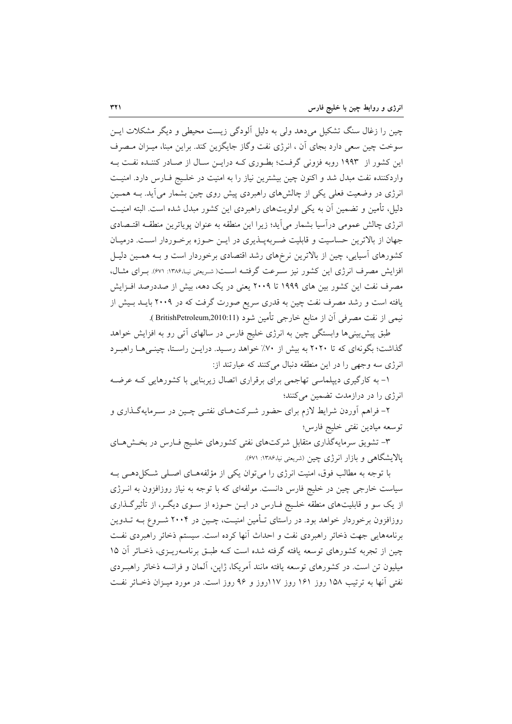چین را زغال سنگ تشکیل میدهد ولی به دلیل آلودگی زیست محیطی و دیگر مشکلات ایــ; سوخت چین سعی دارد بجای آن ، انرژی نفت وگاز جایگزین کند. براین مبنا، میـزان مـصرف این کشور از ۱۹۹۳ روبه فزونی گرفت؛ بطـوری کـه درایـن سـال از صـادر کننـده نفـت بـه واردکننده نفت مبدل شد و اکنون چین بیشترین نیاز را به امنیت در خلـیج فـارس دارد. امنیـت انرژی در وضعیت فعلی یکی از چالش های راهبردی پیش روی چین بشمار می آید. بــه همــین دلیل، تأمین و تضمین آن به یکی اولویتهای راهبردی این کشور مبدل شده است. البته امنیـت انرژی چالش عمومی درآسیا بشمار می آید؛ زیرا این منطقه به عنوان پویاترین منطقــه اقتـصادی جهان از بالاترین حساسیت و قابلیت ضـربهیــذیری در ایــن حــوزه برخــوردار اســت. درمیــان کشورهای اسپایی، چین از بالاترین نرخهای رشد اقتصادی برخوردار است و بـه همـین دلیـل افزایش مصرف انرژی این کشور نیز سـرعت گرفتـه اسـت(شـریعتی نیـ۱۳۸۶: ۶۷۱). بـرای مثـال، مصرف نفت این کشور بین های ۱۹۹۹ تا ۲۰۰۹ یعنی در یک دهه، بیش از صددرصد افـزایش یافته است و رشد مصرف نفت چین به قدری سریع صورت گرفت که در ۲۰۰۹ بایــد بـیش از نيمي از نفت مصرفي آن از منابع خارجي تأمين شود (BritishPetroleum,2010:11 ).

طبق پیش بینیها وابستگی چین به انرژی خلیج فارس در سالهای اّتی رو به افزایش خواهد گذاشت؛ بگونهای که تا ۲۰۲۰ به بیش از ۷۰٪ خواهد رسـید. درایـن راسـتا، چینـی۱هـا راهبـرد انرژی سه وجهی را در این منطقه دنبال میکنند که عبارتند از:

۱- به کارگیری دیپلماسی تهاجمی برای برقراری اتصال زیربنایی با کشورهایی کـه عرضـه انرژی را در درازمدت تضمین میکنند؛

۲- فراهم آوردن شرایط لازم برای حضور شـرکتهـای نفتـی چـین در سـرمایهگـذاری و توسعه ميادين نفتى خليج فارس؛

۳- تشویق سرمایهگذاری متقابل شرکتهای نفتی کشورهای خلیج فـارس در بخـشهـای یالایشگاهی و بازار انرژی چین (شریعتی نیا،۱۳۸۶: ۶۷۱).

با توجه به مطالب فوق، امنیت انرژی را می توان یکی از مؤلفههـای اصـلی شـکل(دهـی بـه سیاست خارجی چین در خلیج فارس دانست. مولفهای که با توجه به نیاز روزافزون به انــرژی از یک سو و قابلیتهای منطقه خلـیج فــارس در ایــن حــوزه از ســوی دیگــر، از تأثیرگــذاری روزافزون برخوردار خواهد بود. در راستای تـأمین امنیـت، چـین در ۲۰۰۴ شـروع بــه تــدوین برنامههایی جهت ذخائر راهبردی نفت و احداث أنها کرده است. سیستم ذخائر راهبردی نفت چین از تجربه کشورهای توسعه یافته گرفته شده است کـه طبـق برنامــهریــزی، ذخــائر آن ۱۵ میلیون تن است. در کشورهای توسعه یافته مانند آمریکا، ژاین، آلمان و فرانسه ذخائر راهب دی نفتی آنها به ترتیب ۱۵۸ روز ۱۶۱ روز ۱۱۷روز و ۹۶ روز است. در مورد میـزان ذخـائر نفـت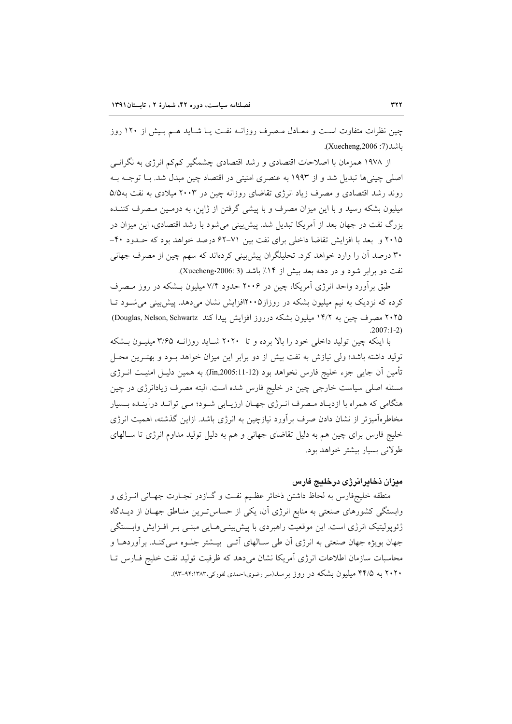چین نظرات متفاوت است و معـادل مـصرف روزانــه نفـت یــا شــاید هــم بـیش از ۱۲۰ روز ىاشد(7: Xuecheng,2006).

از ۱۹۷۸ همزمان با اصلاحات اقتصادی و رشد اقتصادی چشمگیر کمکم انرژی به نگرانــی اصلی چینی ها تبدیل شد و از ۱۹۹۳ به عنصری امنیتی در اقتصاد چین مبدل شد. بــا توجــه بــه روند رشد اقتصادی و مصرف زیاد انرژی تقاضای روزانه چین در ۲۰۰۳ میلادی به نفت به۵/۵ میلیون بشکه رسید و با این میزان مصرف و با پیشی گرفتن از ژاپن، به دومـین مـصرف کننــده بزرگ نفت در جهان بعد از آمریکا تبدیل شد. پیش بینی می شود با رشد اقتصادی، این میزان در ۲۰۱۵ و بعد با افزایش تقاضا داخلی برای نفت بین ۷۱–۶۲ درصد خواهد بود که حـدود ۴۰-۳۰ درصد آن را وارد خواهد کرد. تحلیلگران پیش بینی کردهاند که سهم چین از مصرف جهانی نفت دو برابر شود و در دهه بعد بيش از ۱۴٪ باشد (Xuecheng،2006: 3).

طبق برآورد واحد انرژی آمریکا، چین در ۲۰۰۶ حدود ۷/۴ میلیون بــشکه در روز مــصرف کرده که نزدیک به نیم میلیون بشکه در روزاز۰۰۵افزایش نشان میدهد. پیش بینی می شـود تـا ۲۰۲۵ مصرف چین به ۱۴/۲ میلیون بشکه درروز افزایش پیدا کند Douglas, Nelson, Schwartz)  $2007:1-2$ 

با اینکه چین تولید داخلی خود را بالا برده و تا ۲۰۲۰ شـاید روزانـه ۳/۶۵ میلیـون بـشکه تولید داشته باشد؛ ولی نیازش به نفت بیش از دو برابر این میزان خواهد بـود و بهتـرین محـل تأمين آن جايي جزء خليج فارس نخواهد بود (Jin,2005:11-12) به همين دليـل امنيـت انــرژي مسئله اصلی سیاست خارجی چین در خلیج فارس شده است. البته مصرف زیادانرژی در چین هنگامی که همراه با ازدیـاد مـصرف انـرژي جهـان ارزيـابي شـود؛ مـي توانـد دراًينـده بـسيار مخاطرهآمیزتر از نشان دادن صرف برآورد نیازچین به انرژی باشد. ازاین گذشته، اهمیت انرژی خليج فارس براي چين هم به دليل تقاضاي جهاني و هم به دليل توليد مداوم انرژي تا ســالهاي طولاني بسيار بيشتر خواهد بود.

### ميزان ذخايرانرژي درخليج فارس

منطقه خليجفارس به لحاظ داشتن ذخائر عظـيم نفـت و گــازدر تجــارت جهـاني انــرژى و وابستگی کشورهای صنعتی به منابع انرژی آن، یکی از حساس تـرین منـاطق جهـان از دیــدگاه ژئوپولیتیک انرژی است. این موقعیت راهبردی با پیش بینـی۵حـایی مبنـی بـر افـزایش وابــستگی جهان بویژه جهان صنعتی به انرژی آن طی ســالهای آتــی بیــشتر جلــوه مــی کنــد. برآوردهــا و محاسبات سازمان اطلاعات انرژی آمریکا نشان میدهد که ظرفیت تولید نفت خلیج فــارس تــا ۲۰۲۰ به ۴۴/۵ میلیون بشکه در روز برسد(میر رضوی،احمدی لفورکی،۹۴:۱۳۸۳–۹۳).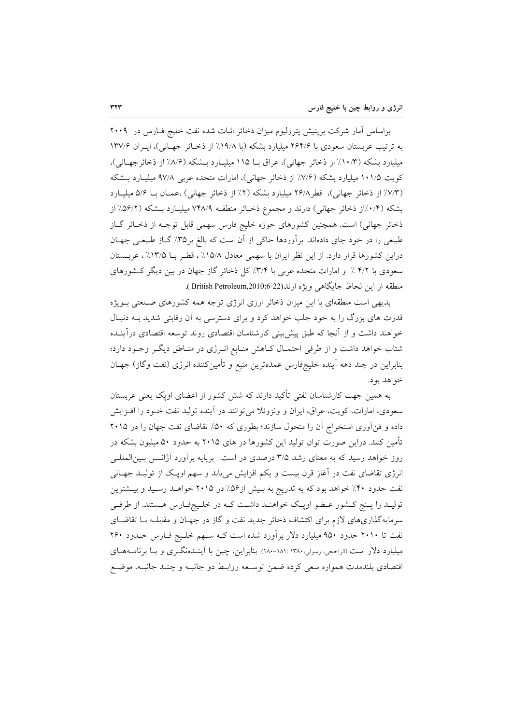براساس آمار شرکت بریتیش پترولیوم میزان ذخائر اثبات شده نفت خلیج فـارس در ۲۰۰۹ به ترتیب عربستان سعودی با ۲۶۴/۶ میلیارد بشکه (با ۱۹/۸٪ از ذخـائر جهـانی)، ایـران ۱۳۷/۶ میلیارد بشکه (۱۰/۳٪ از ذخائر جهانی)، عراق بـا ۱۱۵ میلیـارد بـشکه (۸/۶٪ از ذخائرجهـانی)، کویت ۱۰۱/۵ میلیارد بشکه (۷/۶٪ از ذخائر جهانی)، امارات متحده عربی ۹۷/۸ میلیـارد بـشکه (٧/٣٪ از ذخائر جهانی)، قطر ٢۶/٨ میلیارد بشکه (٢٪ از ذخائر جهانی) ،عمـان بـا ۵/۶ میلیــارد بشکه (۰/۴٪از ذخائر جهانی) دارند و مجموع ذخـائر منطقـه ۷۴۸/۹ میلیـارد بـشکه (۵۶/۲٪ از ذخائر جهانی) است. همچنین کشورهای حوزه خلیج فارس سهمی قابل توجـه از ذخـائر گـاز طبیعی را در خود جای دادهاند. برآوردها حاکی از آن است که بالغ بر ۳۵٪ گــاز طبیعـی جهـان دراین کشورها قرار دارد. از این نظر ایران با سهمی معادل ۱۵/۸٪، قطـر بـا ۱۳/۵٪، عربـستان سعودی با ۴/۲٪ و امارات متحده عربی با ۳/۴٪ کل ذخائر گاز جهان در بین دیگر کشورهای منطقه از این لحاظ جایگاهی ویژه ارند(22-8:British Petroleum,2010).

بدیهی است منطقهای با این میزان ذخائر ارزی انرژی توجه همه کشورهای صنعتی بـویژه قدرت های بزرگ را به خود جلب خواهد کرد و برای دسترسی به آن رقابتی شدید بـه دنبـال خواهند داشت و از آنجا که طبق پیش بینی کارشناسان اقتصادی روند توسعه اقتصادی درآینـده شتاب خواهد داشت و از طرفی احتمـال کـاهش منـابع انـرژی در منـاطق دیگـر وجـود دارد؛ بنابراین در چند دهه اَینده خلیجفارس عمدهترین منبع و تأمینکننده انرژی (نفت وگاز) جهـان خواهد بود.

به همین جهت کارشناسان نفتی تأکید دارند که شش کشور از اعضای اویک یعنی عربستان سعودی، امارات، کویت، عراق، ایران و ونزوئلا می توانند در آینده تولید نفت خـود را افـزایش داده و فن اَوری استخراج اَن را متحول سازند؛ بطوری که ۵۰٪ تقاضای نفت جهان را در ۲۰۱۵ تأمین کنند. دراین صورت توان تولید این کشورها در های ۲۰۱۵ به حدود ۵۰ میلیون بشکه در روز خواهد رسید که به معنای رشد ۳/۵ درصدی در است. برپایه برآورد آژانـس بـینالمللـی انرژی تقاضای نفت در آغاز قرن بیست و یکم افزایش مییابد و سهم اوپک از تولیـد جهـانی نفت حدود ۴۰٪ خواهد بود که به تدریج به بـیش از۵۶٪ در ۲۰۱۵ خواهــد رســید و بیــشترین تولیـد را پـنج کـشور عـضو اویـک خواهنـد داشـت کـه در خلـیجفـارس هـستند. از طرفـی سرمایهگذاریهای لازم برای اکتشاف ذخائر جدید نفت و گاز در جهـان و مقابلـه بـا تقاضـای نفت تا ۲۰۱۰ حدود ۹۵۰ میلیارد دلار برآورد شده است کـه سـهم خلـیج فـارس حــدود ۲۶۰ میلیارد دلار است (الراجعی، رسولی،۱۳۸۰-۱۸۱: ۱۸۸-۱۸۸). بنابراین، چین با آینــدهنگــری و بــا برنامــههــای اقتصادی بلندمدت همواره سعی کرده ضمن توسـعه روابـط دو جانبــه و چنــد جانبــه، موضـع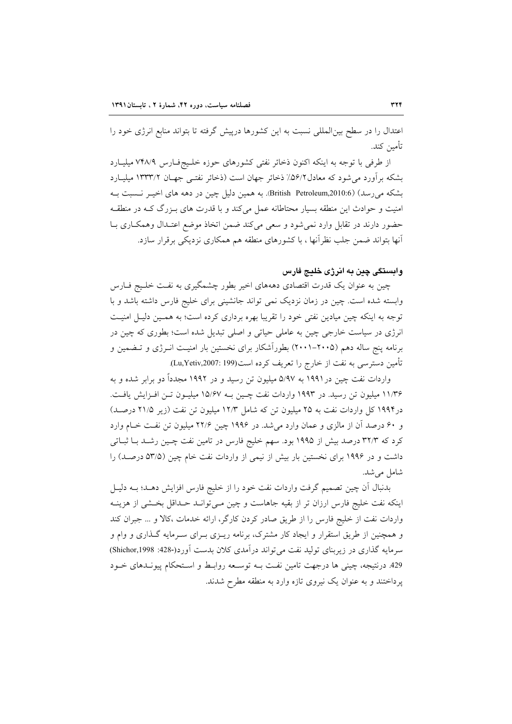اعتدال را در سطح بین|لمللی نسبت به این کشورها درپیش گرفته تا بتواند منابع انرژی خود را تأمين كند.

از طرفی با توجه به اینکه اکنون ذخائر نفتی کشورهای حوزه خلیج فارس ۷۴۸/۹ میلیارد بشکه برآورد می شود که معادل۵۶/۲٪ ذخائر جهان است (ذخائر نفتـی جهـان ۱۳۳۳/۲ میلیــارد بشکه می رسد) (British Petroleum,2010:6). به همین دلیل چین در دهه های اخیـر نـسبت بـه امنیت و حوادث این منطقه بسیار محتاطانه عمل میکند و با قدرت های بـزرگ کـه در منطقـه حضور دارند در تقابل وارد نمی شود و سعی می کند ضمن اتخاذ موضع اعتـدال وهمکـاری بـا آنها بتواند ضمن جلب نظرآنها ، با کشورهای منطقه هم همکاری نزدیکی برقرار سازد.

## وابستگی چین به انرژی خلیج فارس

چین به عنوان یک قدرت اقتصادی دهههای اخیر بطور چشمگیری به نفـت خلـیج فــارس وابسته شده است. چین در زمان نزدیک نمی تواند جانشینی برای خلیج فارس داشته باشد و با توجه به اینکه چین میادین نفتی خود را تقریبا بهره برداری کرده است؛ به همـین دلیـل امنیـت انرژی در سیاست خارجی چین به عاملی حیاتی و اصلی تبدیل شده است؛ بطوری که چین در برنامه پنج ساله دهم (۲۰۰۵–۲۰۰۱) بطوراًشکار برای نخستین بار امنیـت انــرژی و تــضمین و تأمین دسترسی به نفت از خارج را تعریف کرده است(Lu,Yetiv,2007: 199).

واردات نفت چین در ۱۹۹۱ به ۵/۹۷ میلیون تن رسید و در ۱۹۹۲ مجدداً دو برابر شده و به ۱۱/۳۶ میلیون تن رسید. در ۱۹۹۳ واردات نفت چـین بـه ۱۵/۶۷ میلیـون تـن افـزایش یافـت. در۱۹۹۴ کل واردات نفت به ۲۵ میلیون تن که شامل ۱۲/۳ میلیون تن نفت (زیر ۲۱/۵ درصـد) و ۶۰ درصد آن از مالزی و عمان وارد میشد. در ۱۹۹۶ چین ۲۲/۶ میلیون تن نفت خـام وارد کرد که ۳۲/۳ درصد بیش از ۱۹۹۵ بود. سهم خلیج فارس در تامین نفت چـین رشـد بـا ثبـاتی داشت و در ۱۹۹۶ برای نخستین بار بیش از نیمی از واردات نفت خام چین (۵۳/۵ درصـد) را شامل می شد.

بدنبال آن چین تصمیم گرفت واردات نفت خود را از خلیج فارس افزایش دهـد؛ بــه دلیــل اینکه نفت خلیج فارس ارزان تر از بقیه جاهاست و چین مـی توانـد حـداقل بخـشی از هزینـه واردات نفت از خلیج فارس را از طریق صادر کردن کارگر، ارائه خدمات ،کالا و … جبران کند و همچنین از طریق استقرار و ایجاد کار مشترک، برنامه ریـزی بـرای سـرمایه گـذاری و وام و سرمايه گذاري در زيربناي توليد نفت مي تواند درآمدي كلان بدست آورد(-428: Shichor,1998) 429 درنتيجه، چيني ها درجهت تامين نفت بـه توسـعه روابـط و اسـتحكام پيونـدهاى خـود یر داختند و به عنوان یک نیروی تازه وارد به منطقه مطرح شدند.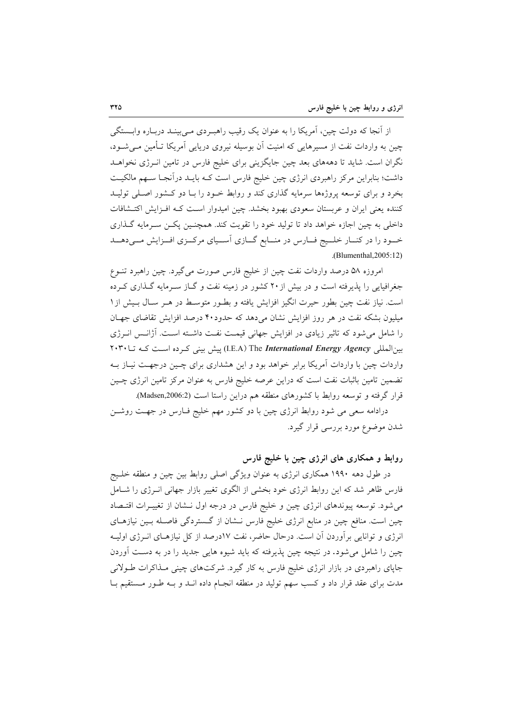از اُنجا که دولت چین، اَمریکا را به عنوان یک رقیب راهب دی مـی بینـد دربـاره وابــستگی چین به واردات نفت از مسیرهایی که امنیت آن بوسیله نیروی دریایی آمریکا تـأمین مـی شــود، نگران است. شاید تا دهههای بعد چین جایگزینی برای خلیج فارس در تامین انـرژی نخواهــد داشت؛ بنابراین مرکز راهبردی انرژی چین خلیج فارس است کـه بایــد درآنجـا ســهم مالکیــت بخرد و برای توسعه پروژهها سرمایه گذاری کند و روابط خـود را بـا دو کـشور اصـلی تولیـد کننده یعنی ایران و عربستان سعودی بهبود بخشد. چین امیدوار است ک افزایش اکتـشافات داخلی به چین اجازه خواهد داد تا تولید خود را تقویت کند. همچنـین پکـن سـرمایه گـذاری خود را در کنـار خلـیج فـارس در منـابع گـازي آسـياي مرکـزي افـزايش مـيدهــد .(Blumenthal, 2005:12)

امروزه ۵۸ درصد واردات نفت چین از خلیج فارس صورت می گیرد. چین راهبرد تنوع جغرافیایی را پذیرفته است و در بیش از ۲۰ کشور در زمینه نفت و گــاز ســرمایه گــذاری کــرده است. نیاز نفت چین بطور حیرت انگیز افزایش یافته و بطـور متوسـط در هـر سـال بـیش از ۱ میلیون بشکه نفت در هر روز افزایش نشان میدهد که حدود۴۰ درصد افزایش تقاضای جهـان را شامل می شود که تاثیر زیادی در افزایش جهانی قیمت نفت داشته است. آژانـس انـرژی بینالمللی I.E.A) The International Energy Agency) پیش بینی کرده است که تا ۲۰۳۰ واردات چین با واردات آمریکا برابر خواهد بود و این هشداری برای چـین درجهـت نیــاز بــه تضمین تامین باثبات نفت است که دراین عرصه خلیج فارس به عنوان مرکز تامین انرژی چـین قرار گرفته و توسعه روابط با كشورهاى منطقه هم دراين راستا است (Madsen,2006:2).

درادامه سعی می شود روابط انرژی چین با دو کشور مهم خلیج فـارس در جهـت روشــن شدن موضوع مورد بررسی قرار گیرد.

# روابط و همکاری های انرژی چین با خلیج فارس

در طول دهه ۱۹۹۰ همکاری انرژی به عنوان ویژگی اصلی روابط بین چین و منطقه خلـیج فارس ظاهر شد که این روابط انرژی خود بخشی از الگوی تغییر بازار جهانی انـرژی را شـامل میشود. توسعه پیوندهای انرژی چین و خلیج فارس در درجه اول نــشان از تغییــرات اقتــصاد چین است. منافع چین در منابع انرژی خلیج فارس نـشان از گـستردگی فاصـله بـین نیازهـای انرژی و توانایی برآوردن آن است. درحال حاضر، نفت ۱۷درصد از کل نیازهـای انــرژی اولیــه چین را شامل می شود. در نتیجه چین پذیرفته که باید شیوه هایی جدید را در به دست آوردن جاپای راهبردی در بازار انرژی خلیج فارس به کار گیرد. شرکتهای چینی مـذاکرات طـولانی مدت برای عقد قرار داد و کسب سهم تولید در منطقه انجـام داده انــد و بــه طــور مــستقیم بــا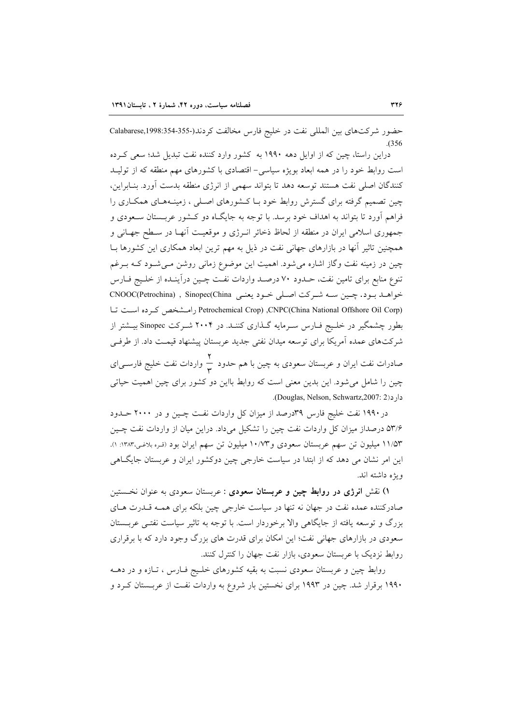حضور شرکتهای بین المللی نفت در خلیج فارس مخالفت کردند(-355-354:1998 Calabarese,  $(356)$ 

دراین راستا، چین که از اوایل دهه ۱۹۹۰ به کشور وارد کننده نفت تبدیل شد؛ سعی کـرده است روابط خود را در همه ابعاد بویژه سیاسی- اقتصادی با کشورهای مهم منطقه که از تولیـد كنندگان اصلى نفت هستند توسعه دهد تا بتواند سهمى از انرژى منطقه بدست آورد. بنـابراين، چین تصمیم گرفته برای گسترش روابط خود بـا کـشورهای اصـلی ، زمینـههـای همکـاری را فراهم آورد تا بتواند به اهداف خود برسد. با توجه به جایگـاه دو کـشور عربـستان سـعودی و جمهوري اسلامي ايران در منطقه از لحاظ ذخائر انـرژي و موقعيـت أنهـا در سـطح جهـاني و همچنین تاثیر آنها در بازارهای جهانی نفت در ذیل به مهم ترین ابعاد همکاری این کشورها بــا چین در زمینه نفت وگاز اشاره میشود. اهمیت این موضوع زمانی روشن مـیشــود کــه بــرغم تنوع منابع برای تامین نفت، حـدود ۷۰ درصـد واردات نفـت چـین درآینـده از خلـیج فــارس خواهـد بـود. چـين سـه شـركت اصـلي خـود يعنـي Sinopec(China ) , Sinopec(China ) Petrochemical Crop) ,CNPC(China National Offshore Oil Corp) رامشخص كرده است تبا بطور چشمگیر در خلیج فـارس سـرمایه گـذاری کننـد. در ۲۰۰۴ شـرکت Sinopec بیـشتر از شرکتهای عمده آمریکا برای توسعه میدان نفتی جدید عربستان پیشنهاد قیمت داد. از طرفی صادرات نفت ایران و عربستان سعودی به چین با هم حدود  $\frac{\mathsf{Y}}{\mathsf{w}}$  واردات نفت خلیج فارســی|ی

چین را شامل می شود. این بدین معنی است که روابط بااین دو کشور برای چین اهمیت حیاتی دار د(Douglas, Nelson, Schwartz, 2007: 2).

در ۱۹۹۰ نفت خلیج فارس ۳۹درصد از میزان کل واردات نفت چـین و در ۲۰۰۰ حـدود ۵۳/۶ درصداز میزان کل واردات نفت چین را تشکیل میداد. دراین میان از واردات نفت چـین ۱۱/۵۳ میلیون تن سهم عربستان سعودی و ۱۰/۷۳ میلیون تن سهم ایران بود (قـره بلاغـی،۱۳۸۳: ۱). این امر نشان می دهد که از ابتدا در سیاست خارجی چین دوکشور ایران و عربستان جایگــاهی و بڑه داشته اند.

۱) نقش ا**نرژی در روابط چین و عربستان سعودی** : عربستان سعودی به عنوان نخستین صادرکننده عمده نفت در جهان نه تنها در سیاست خارجی چین بلکه برای همـه قــدرت هــای بزرگ و توسعه یافته از جایگاهی والا برخوردار است. با توجه به تاثیر سیاست نفتـی عربــستان سعودی در بازارهای جهانی نفت؛ این امکان برای قدرت های بزرگ وجود دارد که با برقراری روابط نزدیک با عربستان سعودی، بازار نفت جهان را کنترل کنند.

روابط چین و عربستان سعودی نسبت به بقیه کشورهای خلـیج فـارس ، تـازه و در دهــه ۱۹۹۰ برقرار شد. چین در ۱۹۹۳ برای نخستین بار شروع به واردات نفـت از عربــستان کــرد و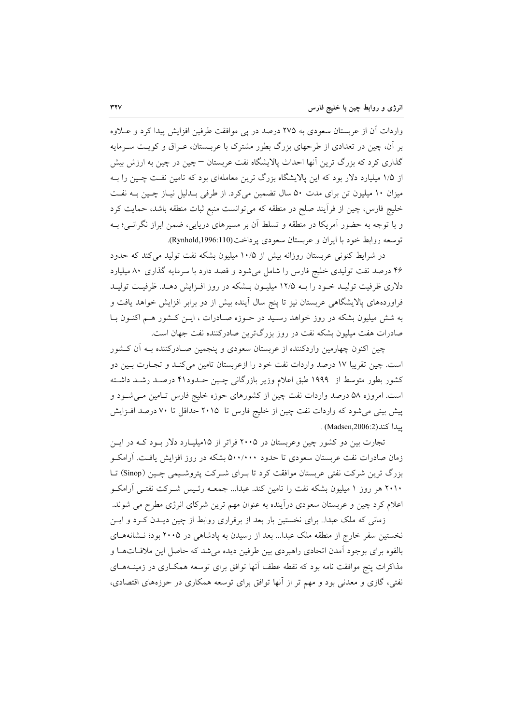واردات آن از عربستان سعودی به ۲۷۵ درصد در پی موافقت طرفین افزایش پیدا کرد و عــلاوه بر آن، چین در تعدادی از طرحهای بزرگ بطور مشترک با عربــستان، عــراق و کویــت ســرمایه گذاری کرد که بزرگ ترین آنها احداث پالایشگاه نفت عربستان —چین در چین به ارزش بیش از ۱/۵ میلیارد دلار بود که این پالایشگاه بزرگ ترین معاملهای بود که تامین نفت چـین را بـه میزان ۱۰ میلیون تن برای مدت ۵۰ سال تضمین می کرد. از طرفی بلدلیل نیاز چهین بـه نفـت خليج فارس، چين از فرأيند صلح در منطقه كه مي توانست منبع ثبات منطقه باشد، حمايت كرد و با توجه به حضور آمریکا در منطقه و تسلط آن بر مسیرهای دریایی، ضمن ابراز نگرانـی؛ بــه توسعه روابط خود با ايران و عربستان سعودي پرداخت(Rynhold,1996:110).

در شرایط کنونی عربستان روزانه بیش از ۱۰/۵ میلیون بشکه نفت تولید می کند که حدود ۴۶ درصد نفت تولیدی خلیج فارس را شامل می شود و قصد دارد با سرمایه گذاری ۸۰ میلیارد دلاری ظرفیت تولیـد خـود را بـه ۱۲/۵ میلیـون بـشکه در روز افـزایش دهـد. ظرفیـت تولیـد فراوردههای پالایشگاهی عربستان نیز تا پنج سال آینده بیش از دو برابر افزایش خواهد یافت و به شش میلیون بشکه در روز خواهد رسـید در حـوزه صـادرات ، ایـن کـشور هـم اکنـون بـا صادرات هفت میلیون بشکه نفت در روز بزرگترین صادرکننده نفت جهان است.

چین اکنون چهارمین واردکننده از عربستان سعودی و پنجمین صـادرکننده بــه أن کــشور است. چین تقریبا ۱۷ درصد واردات نفت خود را ازعربستان تامین میکند و تجـارت بـین دو کشور بطور متوسط از ۱۹۹۹ طبق اعلام وزیر بازرگانی چـین حــدود۴۱ درصــد رشــد داشــته است. امروزه ۵۸ درصد واردات نفت چین از کشورهای حوزه خلیج فارس تـامین مـیشــود و پیش بینی می شود که واردات نفت چین از خلیج فارس تا ۲۰۱۵ حداقل تا ۷۰ درصد افـزایش يبدا كند(Madsen,2006:2) .

تجارت بین دو کشور چین وعربستان در ۲۰۰۵ فراتر از ۱۵میلیـارد دلار بـود کـه در ایـن زمان صادرات نفت عربستان سعودی تا حدود ۵۰۰/۰۰۰ بشکه در روز افزایش یافت. آرامکـو بزرگ ترین شرکت نفتی عربستان موافقت کرد تا بـرای شـرکت پتروشـیمی چـین (Sinop) تــا ۲۰۱۰ هر روز ۱ میلیون بشکه نفت را تامین کند. عبدا... جمعـه رئـیس شــرکت نفتــی آرامکــو اعلام کرد چین و عربستان سعودی درآینده به عنوان مهم ترین شرکای انرژی مطرح می شوند.

زمانی که ملک عبداً.. برای نخستین بار بعد از برقراری روابط از چین دیـدن کـرد و ایـن نخستین سفر خارج از منطقه ملک عبدا… بعد از رسیدن به یادشاهی در ۲۰۰۵ بود؛ نـشانههـای بالقوه برای بوجود آمدن اتحادی راهبردی بین طرفین دیده میشد که حاصل این ملاقــات۱هـا و مذاکرات پنج موافقت نامه بود که نقطه عطف انها توافق برای توسعه همکـاری در زمینــههـای نفتی، گازی و معدنی بود و مهم تر از آنها توافق برای توسعه همکاری در حوزههای اقتصادی،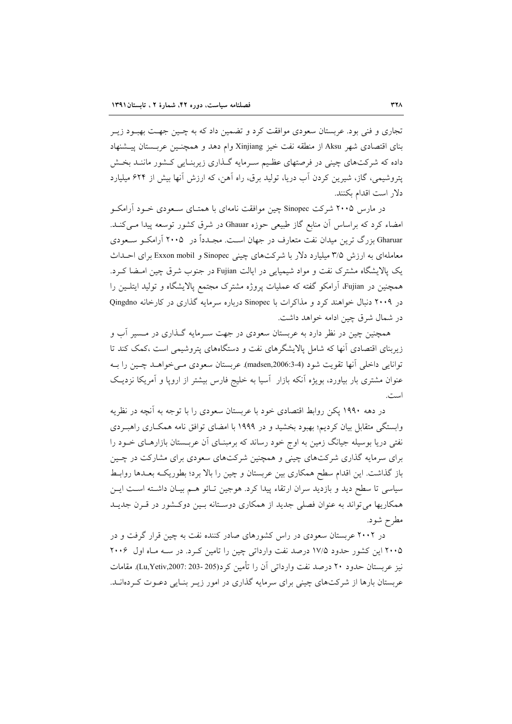تجاري و فني بود. عربستان سعودي موافقت كرد و تضمين داد كه به چـين جهـت بهبـود زيـر بناي اقتصادي شهر Aksu از منطقه نفت خيز Xinjiang وام دهد و همچنـين عربــستان پيــشنهاد داده که شرکتهای چینی در فرصتهای عظیم سـرمایه گـذاری زیربنـایی کـشور ماننـد بخـش پتروشیمی، گاز، شیرین کردن آب دریا، تولید برق، راه آهن، که ارزش آنها بیش از ۶۲۴ میلیارد دلار است اقدام بكنند.

در مارس ۲۰۰۵ شرکت Sinopec چین موافقت نامهای با همتــای ســعودی خــود آرامکــو امضاء کرد که براساس آن منابع گاز طبیعی حوزه Ghauar در شرق کشور توسعه پیدا مـیکنـد. Gharuar بزرگ ترین میدان نفت متعارف در جهان است. مجـدداً در ۲۰۰۵ آرامکـو سـعودی معاملهای به ارزش ۳/۵ میلیارد دلار با شرکتهای چینی Sinopec و Exxon mobil برای احـداث یک پالایشگاه مشترک نفت و مواد شیمیایی در ایالت Fujian در جنوب شرق چین امـضا کـرد. همچنین در Fujian آرامکو گفته که عملیات پروژه مشترک مجتمع پالایشگاه و تولید ایتلـین را در ۲۰۰۹ دنبال خواهند کرد و مذاکرات با Sinopec درباره سرمایه گذاری در کارخانه Qingdno در شمال شرق چین ادامه خواهد داشت.

همچنین چین در نظر دارد به عربستان سعودی در جهت ســرمایه گــذاری در مــسیر آب و زیربنای اقتصادی آنها که شامل پالایشگرهای نفت و دستگاههای پتروشیمی است ،کمک کند تا توانايي داخلي آنها تقويت شود (4-3:3006.3-madsen). عربستان سعودي مـي خواهــد چـين را بــه عنوان مشتری بار بیاورد، بویژه آنکه بازار آسیا به خلیج فارس بیشتر از اروپا و آمریکا نزدیک است.

در دهه ۱۹۹۰ یکن روابط اقتصادی خود با عربستان سعودی را با توجه به آنچه در نظریه وابستگی متقابل بیان کردیم؛ بهبود بخشید و در ۱۹۹۹ با امضای توافق نامه همکاری راهبـردی نفتی دریا بوسیله جیانگ زمین به اوج خود رساند که برمبنـای آن عربــستان بازارهــای خــود را برای سرمایه گذاری شرکتهای چینی و همچنین شرکتهای سعودی برای مشارکت در چـین باز گذاشت. این اقدام سطح همکاری بین عربستان و چین را بالا برد؛ بطوریکـه بعـدها روابـط سیاسی تا سطح دید و بازدید سران ارتقاء پیدا کرد. هوجین تـائو هـم بیـان داشـته اسـت ایـن همکاریها می تواند به عنوان فصلی جدید از همکاری دوستانه بسین دوکشور در قبرن جدیب مطرح شود.

در ۲۰۰۲ عربستان سعودی در راس کشورهای صادر کننده نفت به چین قرار گرفت و در ۲۰۰۵ این کشور حدود ۱۷/۵ درصد نفت وارداتی چین را تامین کرد. در سـه مـاه اول ۲۰۰۶ نيز عربستان حدود ٢٠ درصد نفت وارداتي أن را تأمين كرد(205-203: Lu,Yetiv,2007). مقامات عربستان بارها از شرکتهای چینی برای سرمایه گذاری در امور زیـر بنـایی دعـوت کـردهانــد.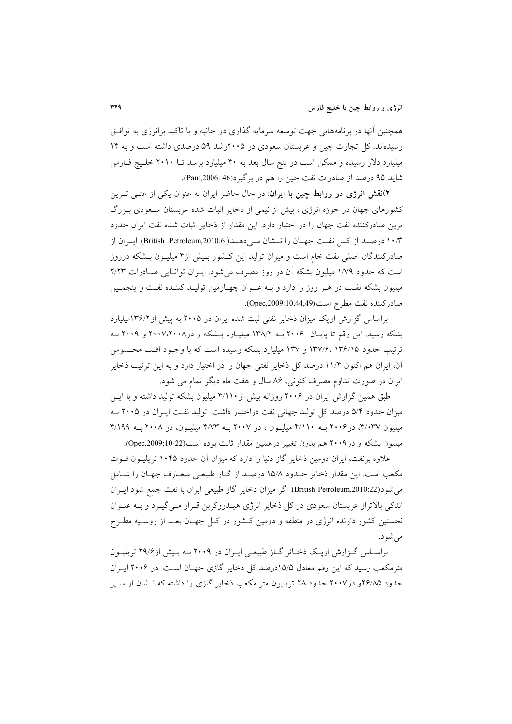همچنین آنها در برنامههایی جهت توسعه سرمایه گذاری دو جانبه و با تاکید برانرژی به توافـق رسیدهاند. کل تجارت چین و عربستان سعودی در ۲۰۰۵رشد ۵۹ درصدی داشته است و به ۱۴ میلیارد دلار رسیده و ممکن است در پنج سال بعد به ۴۰ میلیارد برسد تــا ۲۰۱۰ خلـیج فــارس شايد ۹۵ درصد از صادرات نفت چين را هم در برگير د(46 :Pant,2006).

۲)نقش انرژی در روابط چین با ایران: در حال حاضر ایران به عنوان یکی از غنــی تــرین کشورهای جهان در حوزه انرژی ، بیش از نیمی از ذخایر اثبات شده عربستان سـعودی بـزرگ ترین صادرکننده نفت جهان را در اختیار دارد. این مقدار از ذخایر اثبات شده نفت ایران حدود ۱۰/۳ درصـد از كــل نفــت جهــان را نـــشان مــي دهــد( British Petroleum,2010:6). ايــران از صادرکنندگان اصلی نفت خام است و میزان تولید این کـشور بـیش از۴ میلیـون بـشکه درروز است که حدود ۱/۷۹ میلیون بشکه آن در روز مصرف می شود. ایـران توانـایی صـادرات ۲/۲۳ میلیون بشکه نفت در هـر روز را دارد و بـه عنـوان چهـارمین تولیـد کننـده نفـت و پنجمـین صادركننده نفت مطرح است(10,44,49:Opec,2009).

براساس گزارش اویک میزان ذخایر نفتی ثبت شده ایران در ۲۰۰۵ به پیش از ۱۳۶/۲میلیارد بشکه رسید. این رقم تا پایـان ۲۰۰۶ بـه ۱۳۸/۴ میلیـارد بـشکه و در۲۰۰۷،۲۰۰۸ و ۲۰۰۹ بـه ترتیب حدود ۱۳۶/۱۵ ،۱۳۷/۶ و ۱۳۷ میلیارد بشکه رسیده است که با وجـود افـت محـسوس آن، ایران هم اکنون ۱۱/۴ درصد کل ذخایر نفتی جهان را در اختیار دارد و به این ترتیب ذخایر ایران در صورت تداوم مصرف کنونی، ۸۶ سال و هفت ماه دیگر تمام می شود.

طبق همین گزارش ایران در ۲۰۰۶ روزانه بیش از ۴/۱۱۰ میلیون بشکه تولید داشته و با ایـن میزان حدود ۵/۴ درصد کل تولید جهانی نفت دراختیار داشت. تولید نفـت ایـران در ۲۰۰۵ بـه میلیون ۴/۰۳۷، در ۲۰۰۶ بـه ۴/۱۱۰ میلیـون ، در ۲۰۰۷ بـه ۴/۷۳ میلیـون، در ۲۰۰۸ بـه ۴/۱۹۹ میلیون بشکه و در ۲۰۰۹ هم بدون تغییر درهمین مقدار ثابت بوده است(22-09:10-22).

علاوه برنفت، ایران دومین ذخایر گاز دنیا را دارد که میزان آن حدود ۱۰۴۵ تریلیــون فــوت مکعب است. این مقدار ذخایر حـدود ۱۵/۸ درصـد از گــاز طبیعـی متعــارف جهــان را شــامل می شود(British Petroleum,2010:22). اگر میزان ذخایر گاز طبیعی ایران با نفت جمع شود ایـران اندکی بالاتراز عربستان سعودی در کل ذخایر انرژی هیـدروکربن قـرار مـی گیـرد و بـه عنـوان نخستین کشور دارنده انرژی در منطقه و دومین کـشور در کـل جهـان بعـد از روسـیه مطـرح می شو د.

براسـاس گـزارش اويـک ذخـائر گـاز طبيعـي ايـران در ٢٠٠٩ بــه بـيش از ٢٩/۶ تريليــون مترمکعب رسید که این رقم معادل ۱۵/۵درصد کل ذخایر گازی جهـان اسـت. در ۲۰۰۶ ایـران حدود ۲۶/۸۵ و در ۲۰۰۷ حدود ۲۸ تریلیون متر مکعب ذخایر گازی را داشته که نـشان از سـیر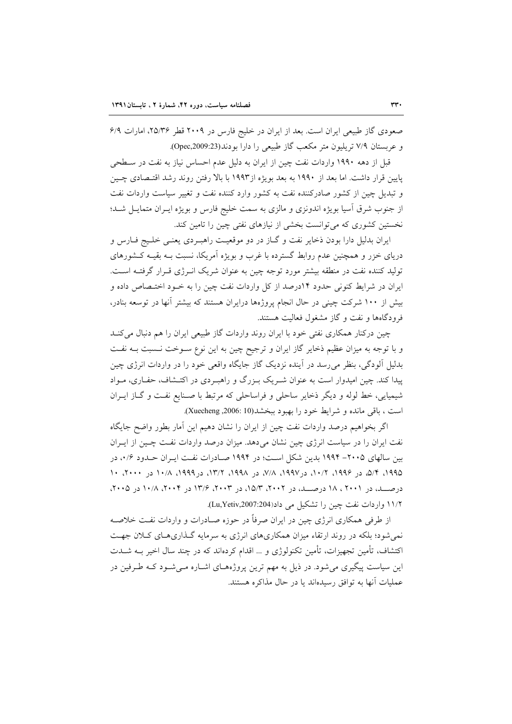صعودی گاز طبیعی ایران است. بعد از ایران در خلیج فارس در ۲۰۰۹ قطر ۲۵/۳۶، امارات ۶/۹ و عربستان ٧/٩ تريليون متر مكعب گاز طبيعي را دارا بودند(Opec,2009:23).

قبل از دهه ۱۹۹۰ واردات نفت چین از ایران به دلیل عدم احساس نیاز به نفت در سـطحی پایین قرار داشت. اما بعد از ۱۹۹۰ به بعد بویژه از۱۹۹۳ با بالا رفتن روند رشد اقتـصادی چـین و تبدیل چین از کشور صادرکننده نفت به کشور وارد کننده نفت و تغییر سیاست واردات نفت از جنوب شرق آسیا بویژه اندونزی و مالزی به سمت خلیج فارس و بویژه ایـران متمایـل شـد؛ نخستین کشوری که می توانست بخشی از نیازهای نفتی چین را تامین کند.

ايران بدليل دارا بودن ذخاير نفت و گـاز در دو موقعيـت راهبـردي يعنـي خلـيج فـارس و دریای خزر و همچنین عدم روابط گسترده با غرب و بویژه آمریکا، نسبت بـه بقیـه کـشورهای تولید کننده نفت در منطقه بیشتر مورد توجه چین به عنوان شریک انـرژی قـرار گرفتــه اسـت. ایران در شرایط کنونی حدود ۱۴درصد از کل واردات نفت چین را به خـود اختـصاص داده و بیش از ۱۰۰ شرکت چینی در حال انجام پروژهها درایران هستند که بیشتر آنها در توسعه بنادر، فرودگاهها و نفت و گاز مشغول فعالیت هستند.

چین درکنار همکاری نفتی خود با ایران روند واردات گاز طبیعی ایران را هم دنبال میکنـد و با توجه به میزان عظیم ذخایر گاز ایران و ترجیح چین به این نوع سـوخت نـسبت بـه نفـت بدلیل آلودگی، بنظر می رسد در آینده نزدیک گاز جایگاه واقعی خود را در واردات انرژی چین پیدا کند. چین امیدوار است به عنوان شـریک بـزرگ و راهبـردی در اکتـشاف، حفـاری، مـواد شیمیایی، خط لوله و دیگر ذخایر ساحلی و فراساحلی که مرتبط با صنایع نفت و گــاز ایــران است ، باقی مانده و شرایط خود را بهبود ببخشد(Xuecheng ,2006: 10).

اگر بخواهیم درصد واردات نفت چین از ایران را نشان دهیم این آمار بطور واضح جایگاه نفت ایران را در سیاست انرژی چین نشان میدهد. میزان درصد واردات نفت چـین از ایـران بین سالهای ۲۰۰۵– ۱۹۹۴ بدین شکل است؛ در ۱۹۹۴ صـادرات نفت ایـران حـدود ۰/۶، در ۵/۹۵، ۵/۴، در ۱۹۹۶، ۲/۰۲، در۱۹۹۷، ۷/۸، در ۱۹۹۸، ۱۳/۲، در ۱۰/۹۹، ۱۰/۸ در ۲۰۰۰، ۱۰ درصـــد، در ۲۰۰۱ ، ۱۸ درصـــد، در ۲۰۰۲، ۱۵/۳، در ۲۰۰۳، ۱۳/۶ در ۲۰۰۴، ۱۰/۸ در ۲۰۰۵، ۱۱/۲ واردات نفت چین را تشکیل می داد(Lu,Yetiv,2007:204).

از طرفی همکاری انرژی چین در ایران صرفاً در حوزه صـادرات و واردات نفـت خلاصـه نمی شود؛ بلکه در روند ارتقاء میزان همکاریهای انرژی به سرمایه گذاریهـای کـلان جهـت اکتشاف، تأمین تجهیزات، تأمین تکنولوژی و … اقدام کردهاند که در چند سال اخیر بــه شــدت این سیاست پیگیری میشود. در ذیل به مهم ترین پروژههـای اشــاره مــیشــود کــه طــرفین در عمليات أنها به توافق رسيدهاند يا در حال مذاكره هستند.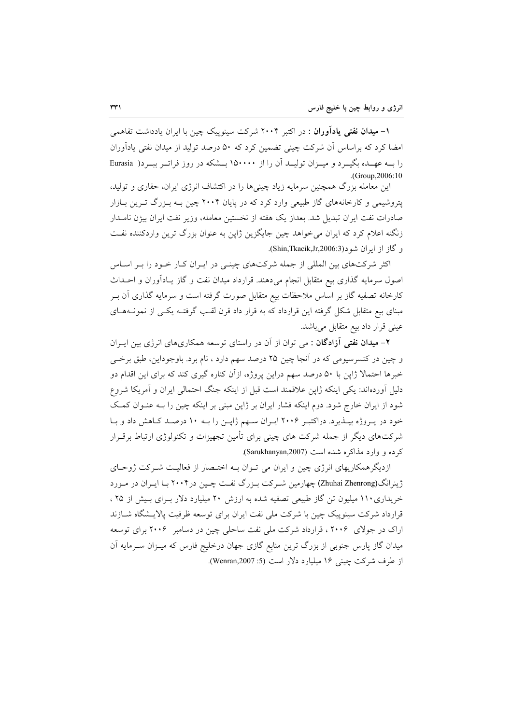۱– م**یدان نفتی یادآوران** : در اکتبر ۲۰۰۴ شرکت سینوییک چین با ایران یادداشت تفاهمی امضا کرد که براساس اَن شرکت چینی تضمین کرد که ۵۰ درصد تولید از میدان نفتی یادآوران را بـه عهـده بگیــرد و میــزان تولیــد آن را از ۱۵۰۰۰۰ بــشکه در روز فراتــر ببــرد( Eurasia  $(Group.2006:10)$ 

این معامله بزرگ همچنین سرمایه زیاد چینے ها را در اکتشاف انرژی ایران، حفاری و تولید، پتروشیمی و کارخانههای گاز طبیعی وارد کرد که در پایان ۲۰۰۴ چین بـه بـزرگ تـرین بـازار صادرات نفت ایران تبدیل شد. بعداز یک هفته از نخستین معامله، وزیر نفت ایران بیژن نامـدار زنگنه اعلام کرد که ایران می خواهد چین جایگزین ژاپن به عنوان بزرگ ترین واردکننده نفت و گاز از ايران شود(Shin,Tkacik,Jr,2006:3).

اکثر شرکتهای بین المللی از جمله شرکتهای چینـی در ایـران کـار خـود را بـر اسـاس اصول سرمایه گذاری بیع متقابل انجام میدهند. قرارداد میدان نفت و گاز یـادآوران و احــداث کارخانه تصفیه گاز بر اساس ملاحظات بیع متقابل صورت گرفته است و سرمایه گذاری آن بـر مبنای بیع متقابل شکل گرفته این قرارداد که به قرار داد قرن لقب گرفتـه یکـی از نمونــههـای عینی قرار داد بیع متقابل میباشد.

۲- میدا**ن نفتی آزادگان** : می توان از آن در راستای توسعه همکاریهای انرژی بین ایـران و چين در کنسرسيومي که در آنجا چين ۲۵ درصد سهم دارد ، نام برد. باوجوداين، طبق برخـي خبرها احتمالا ژاپن با ۵۰ درصد سهم دراین پروژه، ازآن کناره گیری کند که برای این اقدام دو دلیل آوردهاند: یکی اینکه ژاپن علاقمند است قبل از اینکه جنگ احتمالی ایران و آمریکا شروع شود از ایران خارج شود. دوم اینکه فشار ایران بر ژاپن مبنی بر اینکه چین را بـه عنـوان کمـک خود در پیروژه بیلذیرد. دراکتبر ۲۰۰۶ ایبران سبهم ژاپین را بـه ۱۰ درصـد کـاهش داد و بـا شرکتهای دیگر از جمله شرکت های چینی برای تأمین تجهیزات و تکنولوژی ارتباط برقــرار کرده و وارد مذاکره شده است (Sarukhanyan,2007).

ازدیگر همکاریهای انرژی چین و ایران می تـوان بـه اختـصار از فعالیـت شـرکت ژوحـای ژینرانگ(Zhuhai Zhenrong) چهارمین شـرکت بـزرگ نفـت چـین در۲۰۰۴ بـا ایـران در مـورد خریداری ۱۱۰ میلیون تن گاز طبیعی تصفیه شده به ارزش ۲۰ میلیارد دلار بـرای بـیش از ۲۵ ، قرار داد شرکت سینوییک چین با شرکت ملی نفت ایران برای توسعه ظرفیت پالایــشگاه شــازند اراک در جولای ۲۰۰۶، قرارداد شرکت ملی نفت ساحلی چین در دسامبر ۲۰۰۶ برای توسعه میدان گاز پارس جنوبی از بزرگ ترین منابع گازی جهان درخلیج فارس که میـزان ســرمایه آن از طرف شرکت چینی ۱۶ میلیارد دلار است (5: Wenran,2007).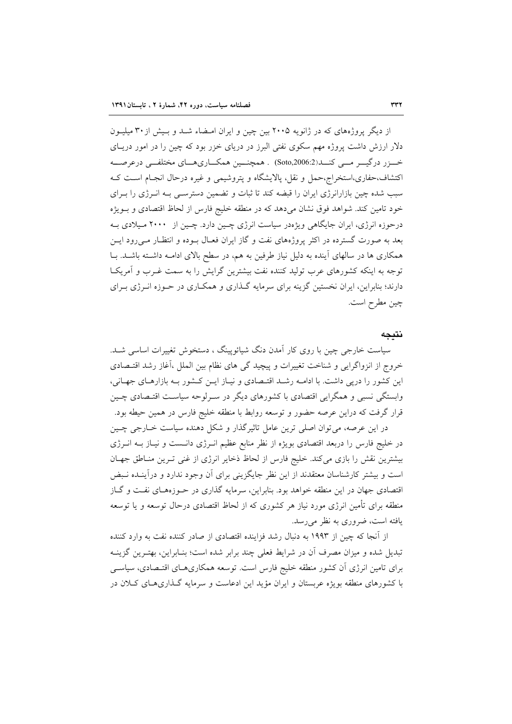از دیگر پروژههای که در ژانویه ۲۰۰۵ بین چین و ایران امـضاء شـد و بـیش از ۳۰ میلیــون دلار ارزش داشت پروژه مهم سکوی نفتی البرز در دریای خزر بود که چین را در امور دریـای خرز درگیــر مــی کنــد(Soto,2006:2) . همچنــین همکــاریهــای مختلفــی درعرصــه اکتشاف،حفاری،استخراج،حمل و نقل، پالایشگاه و پتروشیمی و غیره درحال انجـام اسـت کـه سبب شده چین بازارانرژی ایران را قبضه کند تا ثبات و تضمین دسترسـی بـه انــرژی را بــرای خود تامین کند. شواهد فوق نشان میدهد که در منطقه خلیج فارس از لحاظ اقتصادی و بـویژه درحوزه انرژی، ایران جایگاهی ویژهدر سیاست انرژی چـین دارد. چـین از ۲۰۰۰ مـیلادی بـه بعد به صورت گسترده در اکثر پروژههای نفت و گاز ایران فعـال بـوده و انتظـار مـی رود ایــن همکاری ها در سالهای آینده به دلیل نیاز طرفین به هم، در سطح بالای ادامـه داشـته باشـد. بـا توجه به اینکه کشورهای عرب تولید کننده نفت بیشترین گرایش را به سمت غـرب و آمریکـا دارند؛ بنابراین، ایران نخستین گزینه برای سرمایه گـذاری و همکـاری در حـوزه انــرژی بــرای چين مطرح است.

## نتىحە

سیاست خارجی چین با روی کار آمدن دنگ شیائوپینگ ، دستخوش تغییرات اساسی شـد. خروج از انزواگرایی و شناخت تغییرات و پیچید گی های نظام بین الملل ،آغاز رشد اقتـصادی این کشور را درپی داشت. با ادامـه رشـد اقتـصادی و نیـاز ایـن کـشور بـه بازارهـای جهـانی، وابستگی نسبی و همگرایی اقتصادی با کشورهای دیگر در سـرلوحه سیاسـت اقتـصادی چـین قرار گرفت که دراین عرصه حضور و توسعه روابط با منطقه خلیج فارس در همین حیطه بود.

در این عرصه، می توان اصلی ترین عامل تاثیرگذار و شکل دهنده سیاست خــارجی چــین در خلیج فارس را دربعد اقتصادی بویژه از نظر منابع عظیم انـرژی دانـست و نیـاز بــه انــرژی بیشترین نقش را بازی می کند. خلیج فارس از لحاظ ذخایر انرژی از غنی تـرین منـاطق جهـان است و بیشتر کارشناسان معتقدند از این نظر جایگزینی برای اَن وجود ندارد و درآینــده نــبض اقتصادی جهان در این منطقه خواهد بود. بنابراین، سرمایه گذاری در حـوزههـای نفـت و گـاز منطقه برای تأمین انرژی مورد نیاز هر کشوری که از لحاظ اقتصادی درحال توسعه و یا توسعه یافته است، ضروری به نظر می رسد.

از آنجا که چین از ۱۹۹۳ به دنبال رشد فزاینده اقتصادی از صادر کننده نفت به وارد کننده تبدیل شده و میزان مصرف آن در شرایط فعلی چند برابر شده است؛ بنـابراین، بهتـرین گزینــه برای تامین انرژی آن کشور منطقه خلیج فارس است. توسعه همکاریهـای اقتـصادی، سیاسـی با کشورهای منطقه بویژه عربستان و ایران مؤید این ادعاست و سرمایه گـذاریهـای کـلان در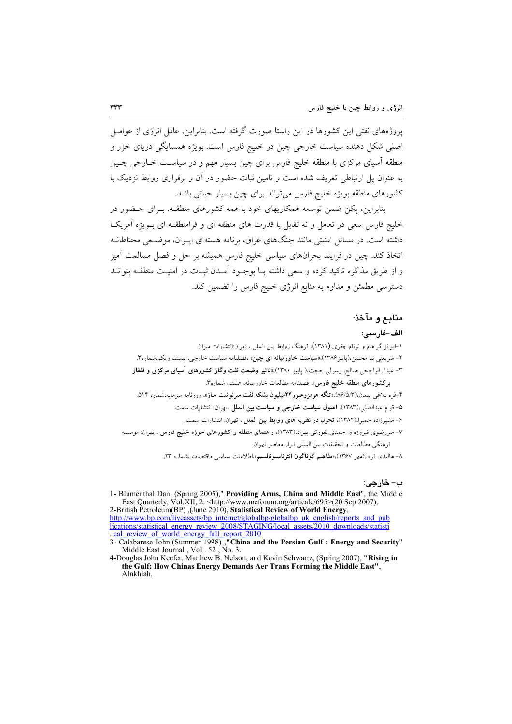یروژههای نفتی این کشورها در این راستا صورت گرفته است. بنابراین، عامل انرژی از عوامـل اصلي شکل دهنده سياست خارجي چين در خليج فارس است. بويژه همسايگي درياي خزر و منطقه آسیای مرکزی با منطقه خلیج فارس برای چین بسیار مهم و در سیاسـت خــارجی چــین به عنوان پل ارتباطی تعریف شده است و تامین ثبات حضور در آن و برقراری روابط نزدیک با كشورهاى منطقه بويژه خليج فارس مى تواند براى چين بسيار حياتى باشد.

بنابراین، یکن ضمن توسعه همکاریهای خود با همه کشورهای منطقـه، بـرای حـضور در خلیج فارس سعی در تعامل و نه تقابل با قدرت های منطقه ای و فرامنطقــه ای بــویژه آمریکــا داشته است. در مسائل امنیتی مانند جنگهای عراق، برنامه هستهای ایـران، موضـعی محتاطانـه اتخاذ کند. چین در فرایند بحرانهای سیاسی خلیج فارس همیشه بر حل و فصل مسالمت آمیز و از طريق مذاكره تاكيد كرده و سعى داشته بـا بوجـود آمـدن ثبـات در امنيـت منطقــه بتوانــد دسترسی مطمئن و مداوم به منابع انرژی خلیج فارس را تضمین کند.

# منابع و مآخذ:

### الف-فارسي:

۱–ایوانز گراهام و نونام جفری،(۱۳۸۱)، فرهنگ روابط بین الملل ، تهران:انتشارات میزان. ۲– شریعتی نیا محسن،(باییز۱۳۸۶)،«**سیاست خاورمیانه ای چین**» ،فصلنامه سیاست خارجی، بیست ویکم،شماره۳. ٣- عبدا...الراجحي صالح، رسولي حجت،( پاييز ١٣٨٠)،«تاثير وضعت نفت وگاز كشورهاي آسياي مركزي و قفقاز بركشورهاى منطقه خليج فارس»، فصلنامه مطالعات خاورميانه، هشتم، شماره٣. ۴-قره بلاغی پیمان،(۸۶/۵/۳)،**«تنگه هرمزوعبور۲۴میلیون بشکه نفت سرنوشت ساز**»، روزنامه سرمایه،شماره ۵۱۴. ۵– قوام عبدالعللي،١٣٨٣)، اصول سياست خارجي و سياست بين الملل ،تهران: انتشارات سمت. ۶– مشیر زاده حمیرا،(۱۳۸۴)، تحول در نظریه های روابط بین الملل ، تهران: انتشارات سمت. ۷– میررضوی فیروزه و احمدی لفورکی بهزاد.(۱۳۸۳)، **راهنمای منطقه و کشورهای حوزه خلیج فارس** ، تهران: موسسه فرهنگي مطالعات و تحقيقات بين المللي ابرار معاصر تهران. ۸– هالیدی فرد،،(مهر ۱۳۶۷)،«مفاهیم گوناگون انترناسیونالیسم»،اطلاعات سیاس<sub>ی</sub> واقتصادی،شماره ۲۳.

ب- خارجي:

1- Blumenthal Dan, (Spring 2005)," Providing Arms, China and Middle East", the Middle East Quarterly, Vol.XII, 2. <http://www.meforum.org/articale/695>(20 Sep 2007). 2-British Petroleum(BP), (June 2010), Statistical Review of World Energy.

http://www.bp.com/liveassets/bp\_internet/globalbp/globalbp\_uk\_english/reports\_and\_pub incations/statistical\_energy\_review\_2008/STAGING/local\_assets/2010\_downloads/statistical\_energy\_review\_2008/STAGING/local\_assets/2010\_downloads/statistical\_energy\_review\_2008/STAGING/local\_assets/2010\_downloads/statistical

4-Douglas John Keefer, Matthew B. Nelson, and Kevin Schwartz, (Spring 2007), "Rising in the Gulf: How Chinas Energy Demands Aer Trans Forming the Middle East", **Alnkhlah** 

<sup>3-</sup> Calabarese John, (Summer 1998), "China and the Persian Gulf : Energy and Security" Middle East Journal, Vol. 52, No. 3.